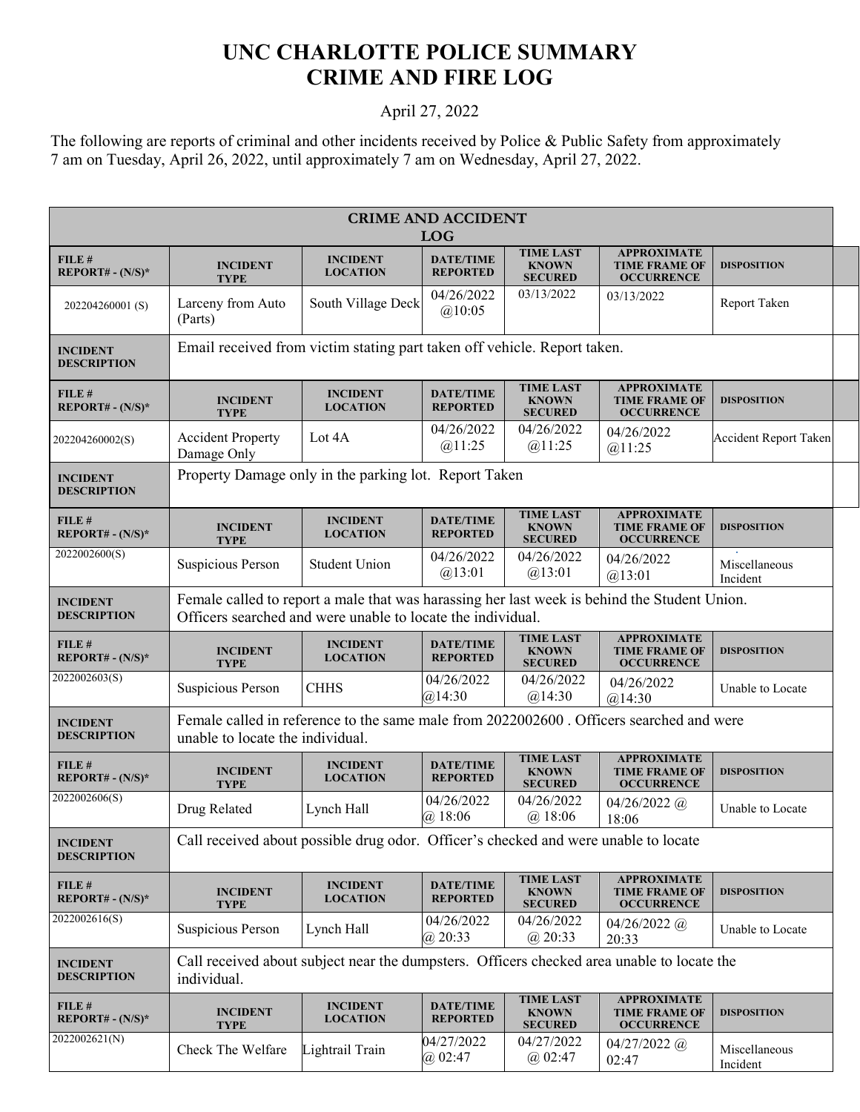## **UNC CHARLOTTE POLICE SUMMARY CRIME AND FIRE LOG**

## April 27, 2022

The following are reports of criminal and other incidents received by Police & Public Safety from approximately 7 am on Tuesday, April 26, 2022, until approximately 7 am on Wednesday, April 27, 2022.

| <b>CRIME AND ACCIDENT</b><br><b>LOG</b> |                                                                                                                                                             |                                    |                                     |                                                    |                                                                 |                           |  |
|-----------------------------------------|-------------------------------------------------------------------------------------------------------------------------------------------------------------|------------------------------------|-------------------------------------|----------------------------------------------------|-----------------------------------------------------------------|---------------------------|--|
| FILE #<br>$REPORT# - (N/S)*$            | <b>INCIDENT</b><br><b>TYPE</b>                                                                                                                              | <b>INCIDENT</b><br><b>LOCATION</b> | <b>DATE/TIME</b><br><b>REPORTED</b> | <b>TIME LAST</b><br><b>KNOWN</b><br><b>SECURED</b> | <b>APPROXIMATE</b><br><b>TIME FRAME OF</b><br><b>OCCURRENCE</b> | <b>DISPOSITION</b>        |  |
| 202204260001(S)                         | Larceny from Auto<br>(Parts)                                                                                                                                | South Village Deck                 | 04/26/2022<br>@10:05                | 03/13/2022                                         | 03/13/2022                                                      | Report Taken              |  |
| <b>INCIDENT</b><br><b>DESCRIPTION</b>   | Email received from victim stating part taken off vehicle. Report taken.                                                                                    |                                    |                                     |                                                    |                                                                 |                           |  |
| $FILE$ #<br>$REPORT# - (N/S)*$          | <b>INCIDENT</b><br><b>TYPE</b>                                                                                                                              | <b>INCIDENT</b><br><b>LOCATION</b> | <b>DATE/TIME</b><br><b>REPORTED</b> | <b>TIME LAST</b><br><b>KNOWN</b><br><b>SECURED</b> | <b>APPROXIMATE</b><br><b>TIME FRAME OF</b><br><b>OCCURRENCE</b> | <b>DISPOSITION</b>        |  |
| 202204260002(S)                         | <b>Accident Property</b><br>Damage Only                                                                                                                     | Lot 4A                             | 04/26/2022<br>@11:25                | 04/26/2022<br>@11:25                               | 04/26/2022<br>@11:25                                            | Accident Report Taken     |  |
| <b>INCIDENT</b><br><b>DESCRIPTION</b>   | Property Damage only in the parking lot. Report Taken                                                                                                       |                                    |                                     |                                                    |                                                                 |                           |  |
| FILE #<br>$REPORT# - (N/S)*$            | <b>INCIDENT</b><br><b>TYPE</b>                                                                                                                              | <b>INCIDENT</b><br><b>LOCATION</b> | <b>DATE/TIME</b><br><b>REPORTED</b> | <b>TIME LAST</b><br><b>KNOWN</b><br><b>SECURED</b> | <b>APPROXIMATE</b><br><b>TIME FRAME OF</b><br><b>OCCURRENCE</b> | <b>DISPOSITION</b>        |  |
| 2022002600(S)                           | Suspicious Person                                                                                                                                           | <b>Student Union</b>               | 04/26/2022<br>@13:01                | 04/26/2022<br>@13:01                               | 04/26/2022<br>@13:01                                            | Miscellaneous<br>Incident |  |
| <b>INCIDENT</b><br><b>DESCRIPTION</b>   | Female called to report a male that was harassing her last week is behind the Student Union.<br>Officers searched and were unable to locate the individual. |                                    |                                     |                                                    |                                                                 |                           |  |
| FILE#<br>REPORT# - $(N/S)^*$            | <b>INCIDENT</b><br><b>TYPE</b>                                                                                                                              | <b>INCIDENT</b><br><b>LOCATION</b> | <b>DATE/TIME</b><br><b>REPORTED</b> | <b>TIME LAST</b><br><b>KNOWN</b><br><b>SECURED</b> | <b>APPROXIMATE</b><br><b>TIME FRAME OF</b><br><b>OCCURRENCE</b> | <b>DISPOSITION</b>        |  |
| 2022002603(S)                           | Suspicious Person                                                                                                                                           | <b>CHHS</b>                        | 04/26/2022<br>@14:30                | 04/26/2022<br>@14:30                               | 04/26/2022<br>@14:30                                            | Unable to Locate          |  |
| <b>INCIDENT</b><br><b>DESCRIPTION</b>   | Female called in reference to the same male from 2022002600. Officers searched and were<br>unable to locate the individual.                                 |                                    |                                     |                                                    |                                                                 |                           |  |
| FILE#<br>$REPORT# - (N/S)*$             | <b>INCIDENT</b><br><b>TYPE</b>                                                                                                                              | <b>INCIDENT</b><br><b>LOCATION</b> | <b>DATE/TIME</b><br><b>REPORTED</b> | <b>TIME LAST</b><br><b>KNOWN</b><br><b>SECURED</b> | <b>APPROXIMATE</b><br><b>TIME FRAME OF</b><br><b>OCCURRENCE</b> | <b>DISPOSITION</b>        |  |
| 2022002606(S)                           | Drug Related                                                                                                                                                | Lynch Hall                         | 04/26/2022<br>@.18:06               | 04/26/2022<br>$(a)$ 18:06                          | $04/26/2022$ (a)<br>18:06                                       | Unable to Locate          |  |
| <b>INCIDENT</b><br><b>DESCRIPTION</b>   | Call received about possible drug odor. Officer's checked and were unable to locate                                                                         |                                    |                                     |                                                    |                                                                 |                           |  |
| FILE #<br>$REPORT# - (N/S)*$            | <b>INCIDENT</b><br><b>TYPE</b>                                                                                                                              | <b>INCIDENT</b><br><b>LOCATION</b> | <b>DATE/TIME</b><br><b>REPORTED</b> | <b>TIME LAST</b><br><b>KNOWN</b><br><b>SECURED</b> | <b>APPROXIMATE</b><br><b>TIME FRAME OF</b><br><b>OCCURRENCE</b> | <b>DISPOSITION</b>        |  |
| 2022002616(S)                           | Suspicious Person                                                                                                                                           | Lynch Hall                         | 04/26/2022<br>$(a)$ 20:33           | 04/26/2022<br>$(a)$ 20:33                          | $04/26/2022$ @<br>20:33                                         | Unable to Locate          |  |
| <b>INCIDENT</b><br><b>DESCRIPTION</b>   | Call received about subject near the dumpsters. Officers checked area unable to locate the<br>individual.                                                   |                                    |                                     |                                                    |                                                                 |                           |  |
| FILE#<br>$REPORT# - (N/S)*$             | <b>INCIDENT</b><br><b>TYPE</b>                                                                                                                              | <b>INCIDENT</b><br><b>LOCATION</b> | <b>DATE/TIME</b><br><b>REPORTED</b> | <b>TIME LAST</b><br><b>KNOWN</b><br><b>SECURED</b> | <b>APPROXIMATE</b><br><b>TIME FRAME OF</b><br><b>OCCURRENCE</b> | <b>DISPOSITION</b>        |  |
| 2022002621(N)                           | Check The Welfare                                                                                                                                           | Lightrail Train                    | 04/27/2022<br>$(a)$ 02:47           | 04/27/2022<br>@02:47                               | $04/27/2022$ @<br>02:47                                         | Miscellaneous<br>Incident |  |